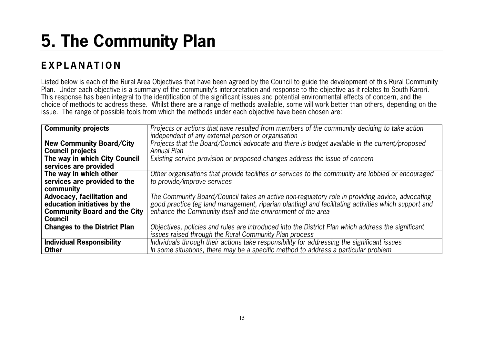# **5. The Community Plan**

## **E X P L A N A T I O N**

Listed below is each of the Rural Area Objectives that have been agreed by the Council to guide the development of this Rural Community Plan. Under each objective is a summary of the community's interpretation and response to the objective as it relates to South Karori. This response has been integral to the identification of the significant issues and potential environmental effects of concern, and the choice of methods to address these. Whilst there are a range of methods available, some will work better than others, depending on the issue. The range of possible tools from which the methods under each objective have been chosen are:

| <b>Community projects</b>           | Projects or actions that have resulted from members of the community deciding to take action        |
|-------------------------------------|-----------------------------------------------------------------------------------------------------|
|                                     | independent of any external person or organisation                                                  |
| <b>New Community Board/City</b>     | Projects that the Board/Council advocate and there is budget available in the current/proposed      |
| <b>Council projects</b>             | Annual Plan                                                                                         |
| The way in which City Council       | Existing service provision or proposed changes address the issue of concern                         |
| services are provided               |                                                                                                     |
| The way in which other              | Other organisations that provide facilities or services to the community are lobbied or encouraged  |
| services are provided to the        | to provide/improve services                                                                         |
| community                           |                                                                                                     |
| <b>Advocacy, facilitation and</b>   | The Community Board/Council takes an active non-regulatory role in providing advice, advocating     |
| education initiatives by the        | good practice (eg land management, riparian planting) and facilitating activities which support and |
| <b>Community Board and the City</b> | enhance the Community itself and the environment of the area                                        |
| <b>Council</b>                      |                                                                                                     |
| <b>Changes to the District Plan</b> | Objectives, policies and rules are introduced into the District Plan which address the significant  |
|                                     | issues raised through the Rural Community Plan process                                              |
| <b>Individual Responsibility</b>    | Individuals through their actions take responsibility for addressing the significant issues         |
| <b>Other</b>                        | In some situations, there may be a specific method to address a particular problem                  |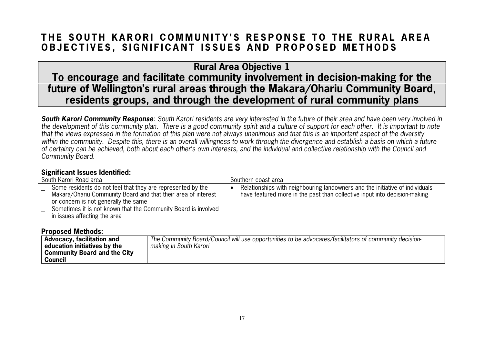### THE SOUTH KARORI COMMUNITY'S RESPONSE TO THE RURAL AREA **OBJECTIVES, SIGNIFICANT ISSUES AND PROPOSED METHODS**

**Rural Area Objective 1 To encourage and facilitate community involvement in decision-making for the future of Wellington's rural areas through the Makara/Ohariu Community Board, residents groups, and through the development of rural community plans**

*South Karori Community Response*: South Karori residents are very interested in the future of their area and have been very involved in the development of this community plan. There is a good community spirit and a culture of support for each other. It is important to note that the views expressed in the formation of this plan were not always unanimous and that this is an important aspect of the diversity within the community. Despite this, there is an overall willingness to work through the divergence and establish a basis on which a future of certainty can be achieved, both about each other's own interests, and the individual and collective relationship with the Council and Community Board.

#### **Significant Issues Identified:**

| South Karori Road area |                                                                                                                                                                      | Southern coast area |                                                                                                                                                           |
|------------------------|----------------------------------------------------------------------------------------------------------------------------------------------------------------------|---------------------|-----------------------------------------------------------------------------------------------------------------------------------------------------------|
|                        | Some residents do not feel that they are represented by the<br>Makara/Ohariu Community Board and that their area of interest<br>or concern is not generally the same |                     | Relationships with neighbouring landowners and the initiative of individuals<br>have featured more in the past than collective input into decision-making |
|                        | Sometimes it is not known that the Community Board is involved<br>in issues affecting the area                                                                       |                     |                                                                                                                                                           |

| Advocacy, facilitation and          | The Community Board/Council will use opportunities to be advocates/facilitators of community decision- |
|-------------------------------------|--------------------------------------------------------------------------------------------------------|
| education initiatives by the        | making in South Karori                                                                                 |
| <b>Community Board and the City</b> |                                                                                                        |
| Council                             |                                                                                                        |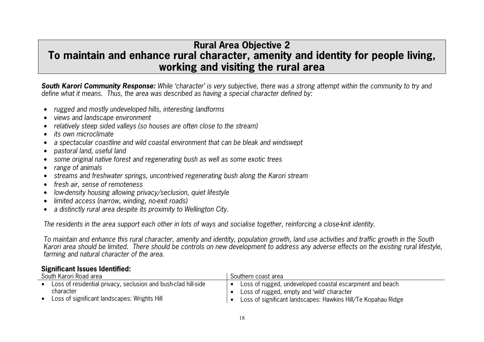### **Rural Area Objective 2 To maintain and enhance rural character, amenity and identity for people living, working and visiting the rural area**

*South Karori Community Response:* While 'character' is very subjective, there was a strong attempt within the community to try and define what it means. Thus, the area was described as having a special character defined by:

- •rugged and mostly undeveloped hills, interesting landforms
- •views and landscape environment
- •relatively steep sided valleys (so houses are often close to the stream)
- •its own microclimate
- •a spectacular coastline and wild coastal environment that can be bleak and windswept
- •pastoral land, useful land
- •some original native forest and regenerating bush as well as some exotic trees
- range of animals
- streams and freshwater springs, uncontrived regenerating bush along the Karori stream
- •fresh air, sense of remoteness
- •low-density housing allowing privacy/seclusion, quiet lifestyle
- •limited access (narrow, winding, no-exit roads)
- •a distinctly rural area despite its proximity to Wellington City.

The residents in the area support each other in lots of ways and socialise together, reinforcing a close-knit identity.

To maintain and enhance this rural character, amenity and identity, population growth, land use activities and traffic growth in the South Karori area should be limited. There should be controls on new development to address any adverse effects on the existing rural lifestyle, farming and natural character of the area.

### **Significant Issues Identified:**

| South Karori Road area |                                                                | Southern coast area |                                                               |
|------------------------|----------------------------------------------------------------|---------------------|---------------------------------------------------------------|
|                        | Loss of residential privacy, seclusion and bush-clad hill-side |                     | Loss of rugged, undeveloped coastal escarpment and beach      |
|                        | character                                                      |                     | Loss of rugged, empty and 'wild' character                    |
|                        | Loss of significant landscapes: Wrights Hill                   |                     | Loss of significant landscapes: Hawkins Hill/Te Kopahau Ridge |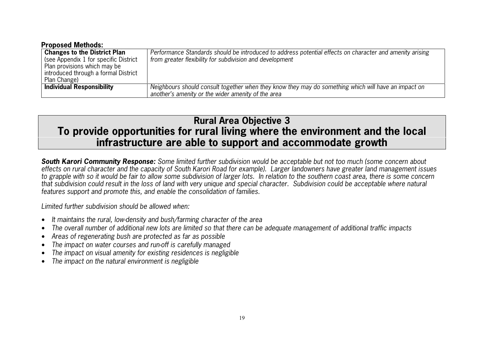#### **Proposed Methods:**

| <b>Changes to the District Plan</b>   | Performance Standards should be introduced to address potential effects on character and amenity arising |
|---------------------------------------|----------------------------------------------------------------------------------------------------------|
| (see Appendix 1 for specific District | from greater flexibility for subdivision and development                                                 |
| Plan provisions which may be          |                                                                                                          |
| introduced through a formal District  |                                                                                                          |
| Plan Change)                          |                                                                                                          |
| <b>Individual Responsibility</b>      | Neighbours should consult together when they know they may do something which will have an impact on     |
|                                       | another's amenity or the wider amenity of the area                                                       |

### **Rural Area Objective 3 To provide opportunities for rural living where the environment and the local infrastructure are able to support and accommodate growth**

*South Karori Community Response:* Some limited further subdivision would be acceptable but not too much (some concern about effects on rural character and the capacity of South Karori Road for example). Larger landowners have greater land management issues to grapple with so it would be fair to allow some subdivision of larger lots. In relation to the southern coast area, there is some concern that subdivision could result in the loss of land with very unique and special character. Subdivision could be acceptable where natural features support and promote this, and enable the consolidation of families.

Limited further subdivision should be allowed when:

- •It maintains the rural, low-density and bush/farming character of the area
- •The overall number of additional new lots are limited so that there can be adequate management of additional traffic impacts
- •Areas of regenerating bush are protected as far as possible
- •The impact on water courses and run-off is carefully managed
- •The impact on visual amenity for existing residences is negligible
- •The impact on the natural environment is negligible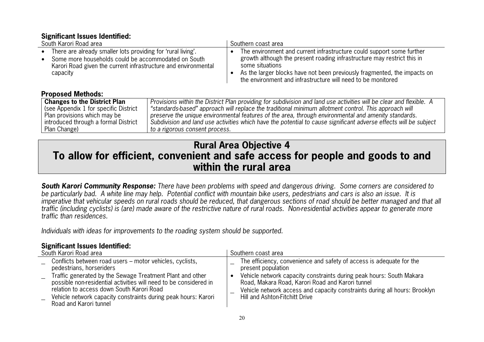### **Significant Issues Identified:**

| South Karori Road area                                         | Southern coast area                                                                                                 |  |  |
|----------------------------------------------------------------|---------------------------------------------------------------------------------------------------------------------|--|--|
| • There are already smaller lots providing for 'rural living'. | The environment and current infrastructure could support some further                                               |  |  |
| • Some more households could be accommodated on South          | growth although the present roading infrastructure may restrict this in                                             |  |  |
| Karori Road given the current infrastructure and environmental | some situations                                                                                                     |  |  |
| capacity                                                       | As the larger blocks have not been previously fragmented, the impacts on                                            |  |  |
| <b>Proposed Methods:</b>                                       | the environment and infrastructure will need to be monitored                                                        |  |  |
| <b>Changes to the District Plan</b>                            | Provisions within the District Plan providing for subdivision and land use activities will be clear and flexible. A |  |  |
| (see Appendix 1 for specific District                          | "standards-based" approach will replace the traditional minimum allotment control. This approach will               |  |  |
| Plan provisions which may be                                   | preserve the unique environmental features of the area, through environmental and amenity standards.                |  |  |
| introduced through a formal District                           | Subdivision and land use activities which have the potential to cause significant adverse effects will be subject   |  |  |
| Plan Change)                                                   | to a rigorous consent process.                                                                                      |  |  |

### **Rural Area Objective 4 To allow for efficient, convenient and safe access for people and goods to and within the rural area**

*South Karori Community Response:* There have been problems with speed and dangerous driving. Some corners are considered to be particularly bad. A white line may help. Potential conflict with mountain bike users, pedestrians and cars is also an issue. It is imperative that vehicular speeds on rural roads should be reduced, that dangerous sections of road should be better managed and that all traffic (including cyclists) is (are) made aware of the restrictive nature of rural roads. Non-residential activities appear to generate more traffic than residences.

Individuals with ideas for improvements to the roading system should be supported.

### **Significant Issues Identified:**

| South Karori Road area |                                                                                                                                                                                                                                                                         | Southern coast area                                                                                                                                                                                                                      |  |
|------------------------|-------------------------------------------------------------------------------------------------------------------------------------------------------------------------------------------------------------------------------------------------------------------------|------------------------------------------------------------------------------------------------------------------------------------------------------------------------------------------------------------------------------------------|--|
|                        | Conflicts between road users - motor vehicles, cyclists,<br>pedestrians, horseriders                                                                                                                                                                                    | The efficiency, convenience and safety of access is adequate for the<br>present population                                                                                                                                               |  |
|                        | Traffic generated by the Sewage Treatment Plant and other<br>possible non-residential activities will need to be considered in<br>relation to access down South Karori Road<br>Vehicle network capacity constraints during peak hours: Karori<br>Road and Karori tunnel | Vehicle network capacity constraints during peak hours: South Makara<br>Road, Makara Road, Karori Road and Karori tunnel<br>Vehicle network access and capacity constraints during all hours: Brooklyn<br>Hill and Ashton-Fitchitt Drive |  |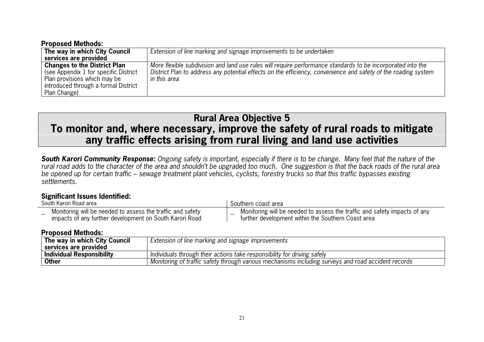| <b>Proposed Methods:</b>                                                                                                                                             |                                                                                                                                                                                                                                               |  |  |  |
|----------------------------------------------------------------------------------------------------------------------------------------------------------------------|-----------------------------------------------------------------------------------------------------------------------------------------------------------------------------------------------------------------------------------------------|--|--|--|
| The way in which City Council                                                                                                                                        | Extension of line marking and signage improvements to be undertaken                                                                                                                                                                           |  |  |  |
| services are provided                                                                                                                                                |                                                                                                                                                                                                                                               |  |  |  |
| <b>Changes to the District Plan</b><br>(see Appendix 1 for specific District<br>Plan provisions which may be<br>introduced through a formal District<br>Plan Change) | More flexible subdivision and land use rules will require performance standards to be incorporated into the<br>District Plan to address any potential effects on the efficiency, convenience and safety of the roading system<br>in this area |  |  |  |

### **Rural Area Objective 5 To monitor and, where necessary, improve the safety of rural roads to mitigate any traffic effects arising from rural living and land use activities**

*South Karori Community Response:* Ongoing safety is important, especially if there is to be change. Many feel that the nature of the rural road adds to the character of the area and shouldn't be upgraded too much. One suggestion is that the back roads of the rural area be opened up for certain traffic – sewage treatment plant vehicles, cyclists, forestry trucks so that this traffic bypasses existing settlements.

#### **Significant Issues Identified:**

| South Karori Road area |                                                                                                                       | Southern coast area |                                                                                                                                 |
|------------------------|-----------------------------------------------------------------------------------------------------------------------|---------------------|---------------------------------------------------------------------------------------------------------------------------------|
|                        | Monitoring will be needed to assess the traffic and safety<br>impacts of any further development on South Karori Road |                     | Monitoring will be needed to assess the traffic and safety impacts of any<br>further development within the Southern Coast area |

| The way in which City Council<br>Extension of line marking and signage improvements |                                                                                                     |  |  |
|-------------------------------------------------------------------------------------|-----------------------------------------------------------------------------------------------------|--|--|
| services are provided                                                               |                                                                                                     |  |  |
| <b>Individual Responsibility</b>                                                    | I Individuals through their actions take responsibility for driving safely                          |  |  |
| <b>Other</b>                                                                        | Monitoring of traffic safety through various mechanisms including surveys and road accident records |  |  |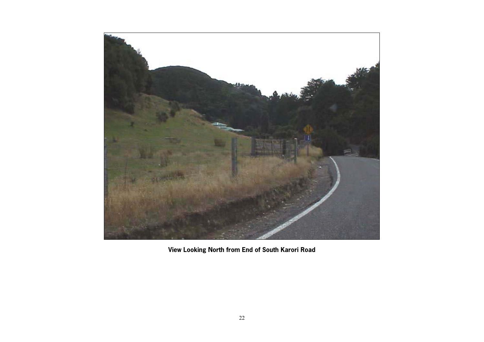

**View Looking North from End of South Karori Road**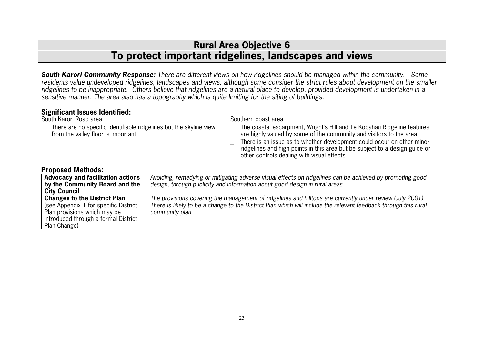### **Rural Area Objective 6 To protect important ridgelines, landscapes and views**

*South Karori Community Response:* There are different views on how ridgelines should be managed within the community. Some residents value undeveloped ridgelines, landscapes and views, although some consider the strict rules about development on the smaller ridgelines to be inappropriate. Others believe that ridgelines are a natural place to develop, provided development is undertaken in a sensitive manner. The area also has a topography which is quite limiting for the siting of buildings.

#### **Significant Issues Identified:**

Plan Change)

| South Karori Road area                                                                                                                               |                                                                                                                                                                                                                                                | Southern coast area                                                                                                                                                                                                                                                                                                                                   |  |  |
|------------------------------------------------------------------------------------------------------------------------------------------------------|------------------------------------------------------------------------------------------------------------------------------------------------------------------------------------------------------------------------------------------------|-------------------------------------------------------------------------------------------------------------------------------------------------------------------------------------------------------------------------------------------------------------------------------------------------------------------------------------------------------|--|--|
| There are no specific identifiable ridgelines but the skyline view<br>from the valley floor is important                                             |                                                                                                                                                                                                                                                | The coastal escarpment, Wright's Hill and Te Kopahau Ridgeline features<br>are highly valued by some of the community and visitors to the area<br>There is an issue as to whether development could occur on other minor<br>ridgelines and high points in this area but be subject to a design guide or<br>other controls dealing with visual effects |  |  |
| <b>Proposed Methods:</b>                                                                                                                             |                                                                                                                                                                                                                                                |                                                                                                                                                                                                                                                                                                                                                       |  |  |
| <b>Advocacy and facilitation actions</b>                                                                                                             |                                                                                                                                                                                                                                                | Avoiding, remedying or mitigating adverse visual effects on ridgelines can be achieved by promoting good                                                                                                                                                                                                                                              |  |  |
| by the Community Board and the                                                                                                                       |                                                                                                                                                                                                                                                | design, through publicity and information about good design in rural areas                                                                                                                                                                                                                                                                            |  |  |
| <b>City Council</b>                                                                                                                                  |                                                                                                                                                                                                                                                |                                                                                                                                                                                                                                                                                                                                                       |  |  |
| <b>Changes to the District Plan</b><br>(see Appendix 1 for specific District<br>Plan provisions which may be<br>introduced through a formal District | The provisions covering the management of ridgelines and hilltops are currently under review (July 2001).<br>There is likely to be a change to the District Plan which will include the relevant feedback through this rural<br>community plan |                                                                                                                                                                                                                                                                                                                                                       |  |  |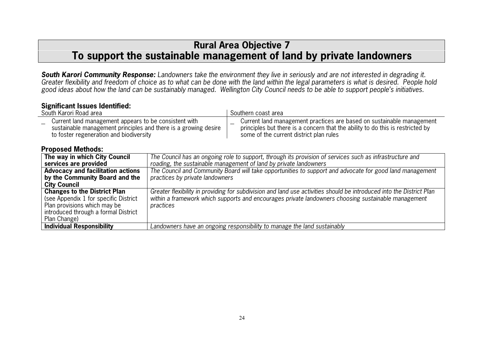### **Rural Area Objective 7 To support the sustainable management of land by private landowners**

*South Karori Community Response:* Landowners take the environment they live in seriously and are not interested in degrading it. Greater flexibility and freedom of choice as to what can be done with the land within the legal parameters is what is desired. People hold good ideas about how the land can be sustainably managed. Wellington City Council needs to be able to support people's initiatives.

| <b>Significant Issues Identified:</b> |  |
|---------------------------------------|--|
| Cauth Karari Daad araa                |  |

| South Karori Road area                                                                                                                                                |                                 | Southern coast area                                                                                                                                                                                                         |
|-----------------------------------------------------------------------------------------------------------------------------------------------------------------------|---------------------------------|-----------------------------------------------------------------------------------------------------------------------------------------------------------------------------------------------------------------------------|
| Current land management appears to be consistent with<br>sustainable management principles and there is a growing desire<br>to foster regeneration and biodiversity   |                                 | Current land management practices are based on sustainable management<br>principles but there is a concern that the ability to do this is restricted by<br>some of the current district plan rules                          |
| <b>Proposed Methods:</b>                                                                                                                                              |                                 |                                                                                                                                                                                                                             |
| The way in which City Council<br>services are provided                                                                                                                |                                 | The Council has an ongoing role to support, through its provision of services such as infrastructure and<br>roading, the sustainable management of land by private landowners                                               |
| <b>Advocacy and facilitation actions</b><br>by the Community Board and the<br><b>City Council</b>                                                                     | practices by private landowners | The Council and Community Board will take opportunities to support and advocate for good land management                                                                                                                    |
| <b>Changes to the District Plan</b><br>(see Appendix 1 for specific District)<br>Plan provisions which may be<br>introduced through a formal District<br>Plan Change) | practices                       | Greater flexibility in providing for subdivision and land use activities should be introduced into the District Plan<br>within a framework which supports and encourages private landowners choosing sustainable management |
| <b>Individual Responsibility</b>                                                                                                                                      |                                 | Landowners have an ongoing responsibility to manage the land sustainably                                                                                                                                                    |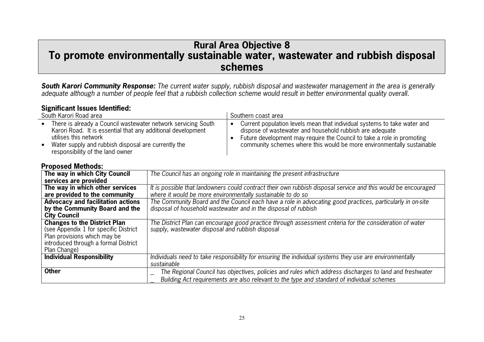### **Rural Area Objective 8 To promote environmentally sustainable water, wastewater and rubbish disposal schemes**

*South Karori Community Response:* The current water supply, rubbish disposal and wastewater management in the area is generally adequate although a number of people feel that a rubbish collection scheme would result in better environmental quality overall.

#### **Significant Issues Identified:**

| South Karori Road area |                                                                                                                                                        | Southern coast area |                                                                                                                                                                                                                |
|------------------------|--------------------------------------------------------------------------------------------------------------------------------------------------------|---------------------|----------------------------------------------------------------------------------------------------------------------------------------------------------------------------------------------------------------|
|                        | There is already a Council wastewater network servicing South<br>Karori Road. It is essential that any additional development<br>utilises this network |                     | Current population levels mean that individual systems to take water and<br>dispose of wastewater and household rubbish are adequate<br>Future development may require the Council to take a role in promoting |
|                        | Water supply and rubbish disposal are currently the<br>responsibility of the land owner                                                                |                     | community schemes where this would be more environmentally sustainable                                                                                                                                         |

| .poou                                    |                                                                                                               |
|------------------------------------------|---------------------------------------------------------------------------------------------------------------|
| The way in which City Council            | The Council has an ongoing role in maintaining the present infrastructure                                     |
| services are provided                    |                                                                                                               |
| The way in which other services          | It is possible that landowners could contract their own rubbish disposal service and this would be encouraged |
| are provided to the community            | where it would be more environmentally sustainable to do so                                                   |
| <b>Advocacy and facilitation actions</b> | The Community Board and the Council each have a role in advocating good practices, particularly in on-site    |
| by the Community Board and the           | disposal of household wastewater and in the disposal of rubbish                                               |
| <b>City Council</b>                      |                                                                                                               |
| <b>Changes to the District Plan</b>      | The District Plan can encourage good practice through assessment criteria for the consideration of water      |
| (see Appendix 1 for specific District    | supply, wastewater disposal and rubbish disposal                                                              |
| Plan provisions which may be             |                                                                                                               |
| introduced through a formal District     |                                                                                                               |
| Plan Change)                             |                                                                                                               |
| <b>Individual Responsibility</b>         | Individuals need to take responsibility for ensuring the individual systems they use are environmentally      |
|                                          | sustainable                                                                                                   |
| <b>Other</b>                             | The Regional Council has objectives, policies and rules which address discharges to land and freshwater       |
|                                          | Building Act requirements are also relevant to the type and standard of individual schemes                    |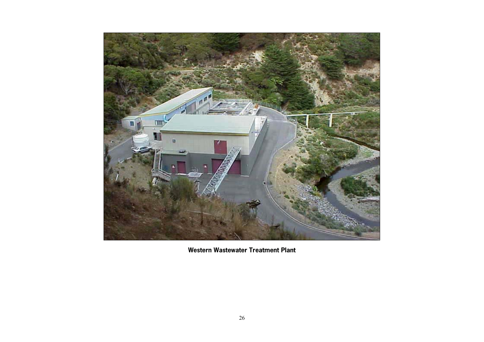

**Western Wastewater Treatment Plant**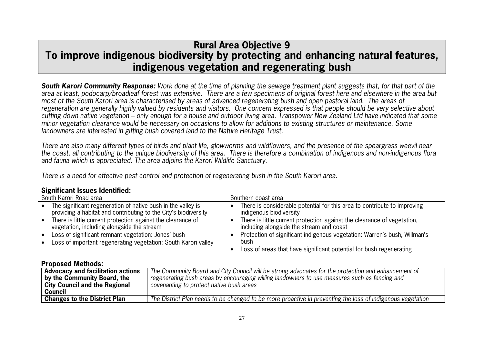### **Rural Area Objective 9 To improve indigenous biodiversity by protecting and enhancing natural features, indigenous vegetation and regenerating bush**

*South Karori Community Response:* Work done at the time of planning the sewage treatment plant suggests that, for that part of the area at least, podocarp/broadleaf forest was extensive. There are a few specimens of original forest here and elsewhere in the area but most of the South Karori area is characterised by areas of advanced regenerating bush and open pastoral land. The areas of regeneration are generally highly valued by residents and visitors. One concern expressed is that people should be very selective about cutting down native vegetation – only enough for a house and outdoor living area. Transpower New Zealand Ltd have indicated that some minor vegetation clearance would be necessary on occasions to allow for additions to existing structures or maintenance. Some landowners are interested in gifting bush covered land to the Nature Heritage Trust.

There are also many different types of birds and plant life, glowworms and wildflowers, and the presence of the speargrass weevil near the coast, all contributing to the unique biodiversity of this area. There is therefore a combination of indigenous and non-indigenous flora and fauna which is appreciated. The area adjoins the Karori Wildlife Sanctuary.

There is a need for effective pest control and protection of regenerating bush in the South Karori area.

| South Karori Road area                                                                                                                                                                                                                           | Southern coast area                                                                                                                                                                                                        |  |
|--------------------------------------------------------------------------------------------------------------------------------------------------------------------------------------------------------------------------------------------------|----------------------------------------------------------------------------------------------------------------------------------------------------------------------------------------------------------------------------|--|
| • The significant regeneration of native bush in the valley is<br>providing a habitat and contributing to the City's biodiversity<br>• There is little current protection against the clearance of<br>vegetation, including alongside the stream | There is considerable potential for this area to contribute to improving<br>indigenous biodiversity<br>There is little current protection against the clearance of vegetation,<br>including alongside the stream and coast |  |
| • Loss of significant remnant vegetation: Jones' bush<br>• Loss of important regenerating vegetation: South Karori valley                                                                                                                        | Protection of significant indigenous vegetation: Warren's bush, Willman's<br>bush<br>Loss of areas that have significant potential for bush regenerating                                                                   |  |

| <b>Advocacy and facilitation actions</b><br>by the Community Board, the<br><b>City Council and the Regional</b><br>Council | The Community Board and City Council will be strong advocates for the protection and enhancement of<br>regenerating bush areas by encouraging willing landowners to use measures such as fencing and<br>covenanting to protect native bush areas |
|----------------------------------------------------------------------------------------------------------------------------|--------------------------------------------------------------------------------------------------------------------------------------------------------------------------------------------------------------------------------------------------|
| <b>Changes to the District Plan</b>                                                                                        | The District Plan needs to be changed to be more proactive in preventing the loss of indigenous vegetation                                                                                                                                       |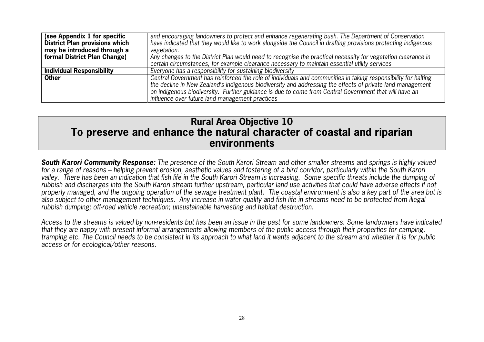| (see Appendix 1 for specific<br><b>District Plan provisions which</b><br>may be introduced through a | and encouraging landowners to protect and enhance regenerating bush. The Department of Conservation<br>have indicated that they would like to work alongside the Council in drafting provisions protecting indigenous<br>vegetation.                                                                                                                                                     |  |  |
|------------------------------------------------------------------------------------------------------|------------------------------------------------------------------------------------------------------------------------------------------------------------------------------------------------------------------------------------------------------------------------------------------------------------------------------------------------------------------------------------------|--|--|
| formal District Plan Change)                                                                         | Any changes to the District Plan would need to recognise the practical necessity for vegetation clearance in<br>certain circumstances, for example clearance necessary to maintain essential utility services                                                                                                                                                                            |  |  |
| <b>Individual Responsibility</b>                                                                     | Everyone has a responsibility for sustaining biodiversity                                                                                                                                                                                                                                                                                                                                |  |  |
| <b>Other</b>                                                                                         | Central Government has reinforced the role of individuals and communities in taking responsibility for halting<br>the decline in New Zealand's indigenous biodiversity and addressing the effects of private land management<br>on indigenous biodiversity. Further guidance is due to come from Central Government that will have an<br>influence over future land management practices |  |  |

### **Rural Area Objective 10 To preserve and enhance the natural character of coastal and riparian environments**

*South Karori Community Response:* The presence of the South Karori Stream and other smaller streams and springs is highly valued for a range of reasons – helping prevent erosion, aesthetic values and fostering of a bird corridor, particularly within the South Karori valley. There has been an indication that fish life in the South Karori Stream is increasing. Some specific threats include the dumping of rubbish and discharges into the South Karori stream further upstream, particular land use activities that could have adverse effects if not properly managed, and the ongoing operation of the sewage treatment plant. The coastal environment is also a key part of the area but is also subject to other management techniques. Any increase in water quality and fish life in streams need to be protected from illegal rubbish dumping; off-road vehicle recreation; unsustainable harvesting and habitat destruction.

Access to the streams is valued by non-residents but has been an issue in the past for some landowners. Some landowners have indicated that they are happy with present informal arrangements allowing members of the public access through their properties for camping, tramping etc. The Council needs to be consistent in its approach to what land it wants adjacent to the stream and whether it is for public access or for ecological/other reasons.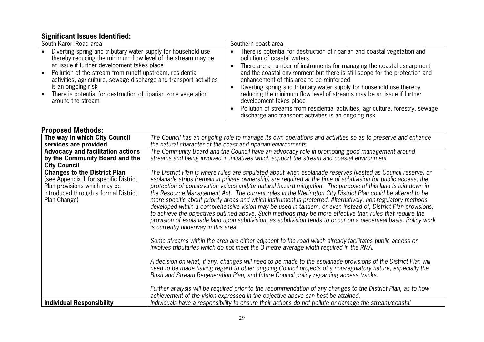### **Significant Issues Identified:**

| South Karori Road area                                                                                                                                                                                                                                                                                                                                                                                                       | Southern coast area                                                                                                                                                                                                                                                                                                                                                                                                                                                                                                                                                                                                                    |
|------------------------------------------------------------------------------------------------------------------------------------------------------------------------------------------------------------------------------------------------------------------------------------------------------------------------------------------------------------------------------------------------------------------------------|----------------------------------------------------------------------------------------------------------------------------------------------------------------------------------------------------------------------------------------------------------------------------------------------------------------------------------------------------------------------------------------------------------------------------------------------------------------------------------------------------------------------------------------------------------------------------------------------------------------------------------------|
| Diverting spring and tributary water supply for household use<br>thereby reducing the minimum flow level of the stream may be<br>an issue if further development takes place<br>Pollution of the stream from runoff upstream, residential<br>activities, agriculture, sewage discharge and transport activities<br>is an ongoing risk<br>There is potential for destruction of riparian zone vegetation<br>around the stream | There is potential for destruction of riparian and coastal vegetation and<br>pollution of coastal waters<br>There are a number of instruments for managing the coastal escarpment<br>and the coastal environment but there is still scope for the protection and<br>enhancement of this area to be reinforced<br>Diverting spring and tributary water supply for household use thereby<br>reducing the minimum flow level of streams may be an issue if further<br>development takes place<br>Pollution of streams from residential activities, agriculture, forestry, sewage<br>discharge and transport activities is an ongoing risk |

| The way in which City Council                                                                                                                                        | The Council has an ongoing role to manage its own operations and activities so as to preserve and enhance                                                                                                                                                                                                                                                                                                                                                                                                                                                                                                                                                                                                                                                                                                                                                                                                                                                      |
|----------------------------------------------------------------------------------------------------------------------------------------------------------------------|----------------------------------------------------------------------------------------------------------------------------------------------------------------------------------------------------------------------------------------------------------------------------------------------------------------------------------------------------------------------------------------------------------------------------------------------------------------------------------------------------------------------------------------------------------------------------------------------------------------------------------------------------------------------------------------------------------------------------------------------------------------------------------------------------------------------------------------------------------------------------------------------------------------------------------------------------------------|
| services are provided                                                                                                                                                | the natural character of the coast and riparian environments                                                                                                                                                                                                                                                                                                                                                                                                                                                                                                                                                                                                                                                                                                                                                                                                                                                                                                   |
| <b>Advocacy and facilitation actions</b>                                                                                                                             | The Community Board and the Council have an advocacy role in promoting good management around                                                                                                                                                                                                                                                                                                                                                                                                                                                                                                                                                                                                                                                                                                                                                                                                                                                                  |
| by the Community Board and the                                                                                                                                       | streams and being involved in initiatives which support the stream and coastal environment                                                                                                                                                                                                                                                                                                                                                                                                                                                                                                                                                                                                                                                                                                                                                                                                                                                                     |
| <b>City Council</b>                                                                                                                                                  |                                                                                                                                                                                                                                                                                                                                                                                                                                                                                                                                                                                                                                                                                                                                                                                                                                                                                                                                                                |
| <b>Changes to the District Plan</b><br>(see Appendix 1 for specific District<br>Plan provisions which may be<br>introduced through a formal District<br>Plan Change) | The District Plan is where rules are stipulated about when esplanade reserves (vested as Council reserve) or<br>esplanade strips (remain in private ownership) are required at the time of subdivision for public access, the<br>protection of conservation values and/or natural hazard mitigation. The purpose of this land is laid down in<br>the Resource Management Act. The current rules in the Wellington City District Plan could be altered to be<br>more specific about priority areas and which instrument is preferred. Alternatively, non-regulatory methods<br>developed within a comprehensive vision may be used in tandem, or even instead of, District Plan provisions,<br>to achieve the objectives outlined above. Such methods may be more effective than rules that require the<br>provision of esplanade land upon subdivision, as subdivision tends to occur on a piecemeal basis. Policy work<br>is currently underway in this area. |
|                                                                                                                                                                      | Some streams within the area are either adjacent to the road which already facilitates public access or<br>involves tributaries which do not meet the 3 metre average width required in the RMA.<br>A decision on what, if any, changes will need to be made to the esplanade provisions of the District Plan will<br>need to be made having regard to other ongoing Council projects of a non-regulatory nature, especially the<br>Bush and Stream Regeneration Plan, and future Council policy regarding access tracks.<br>Further analysis will be required prior to the recommendation of any changes to the District Plan, as to how                                                                                                                                                                                                                                                                                                                      |
|                                                                                                                                                                      | achievement of the vision expressed in the objective above can best be attained.                                                                                                                                                                                                                                                                                                                                                                                                                                                                                                                                                                                                                                                                                                                                                                                                                                                                               |
| <b>Individual Responsibility</b>                                                                                                                                     | Individuals have a responsibility to ensure their actions do not pollute or damage the stream/coastal                                                                                                                                                                                                                                                                                                                                                                                                                                                                                                                                                                                                                                                                                                                                                                                                                                                          |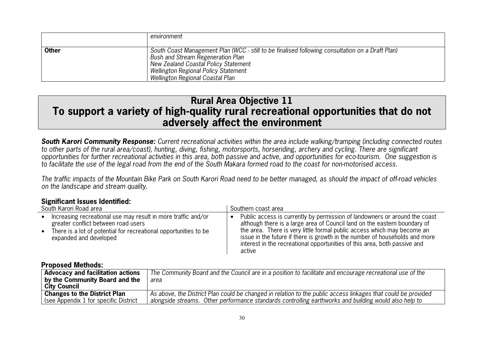|              | environment                                                                                                                                                                                                                                               |
|--------------|-----------------------------------------------------------------------------------------------------------------------------------------------------------------------------------------------------------------------------------------------------------|
| <b>Other</b> | South Coast Management Plan (WCC - still to be finalised following consultation on a Draft Plan)<br>Bush and Stream Regeneration Plan<br>New Zealand Coastal Policy Statement<br>Wellington Regional Policy Statement<br>Wellington Regional Coastal Plan |

### **Rural Area Objective 11 To support a variety of high-quality rural recreational opportunities that do not adversely affect the environment**

*South Karori Community Response:* Current recreational activities within the area include walking/tramping (including connected routes to other parts of the rural area/coast), hunting, diving, fishing, motorsports, horseriding, archery and cycling. There are significant opportunities for further recreational activities in this area, both passive and active, and opportunities for eco-tourism. One suggestion is to facilitate the use of the legal road from the end of the South Makara formed road to the coast for non-motorised access.

The traffic impacts of the Mountain Bike Park on South Karori Road need to be better managed, as should the impact of off-road vehicles on the landscape and stream quality.

#### **Significant Issues Identified:**

| South Karori Road area                                           | Southern coast area                                                         |
|------------------------------------------------------------------|-----------------------------------------------------------------------------|
| Increasing recreational use may result in more traffic and/or    | Public access is currently by permission of landowners or around the coast  |
| $\bullet$                                                        | although there is a large area of Council land on the eastern boundary of   |
| greater conflict between road users                              | the area. There is very little formal public access which may become an     |
| There is a lot of potential for recreational opportunities to be | issue in the future if there is growth in the number of households and more |
| $\bullet$                                                        | interest in the recreational opportunities of this area, both passive and   |
| expanded and developed                                           | active                                                                      |

| <b>Advocacy and facilitation actions</b><br>by the Community Board and the | The Community Board and the Council are in a position to facilitate and encourage recreational use of the<br>area |
|----------------------------------------------------------------------------|-------------------------------------------------------------------------------------------------------------------|
| City Council                                                               |                                                                                                                   |
| <b>Changes to the District Plan</b>                                        | As above, the District Plan could be changed in relation to the public access linkages that could be provided     |
| (see Appendix 1 for specific District)                                     | alongside streams. Other performance standards controlling earthworks and building would also help to             |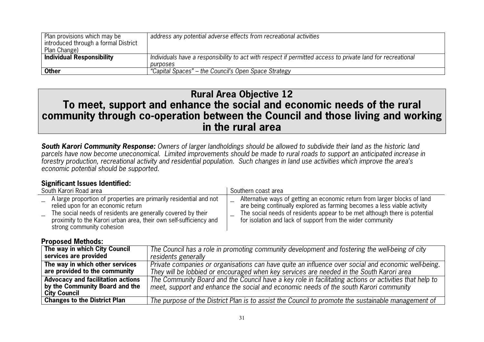| Plan provisions which may be<br>introduced through a formal District<br>Plan Change) | address any potential adverse effects from recreational activities                                         |
|--------------------------------------------------------------------------------------|------------------------------------------------------------------------------------------------------------|
| <b>Individual Responsibility</b>                                                     | Individuals have a responsibility to act with respect if permitted access to private land for recreational |
|                                                                                      | purposes                                                                                                   |
| <b>Other</b>                                                                         | "Capital Spaces" – the Council's Open Space Strategy                                                       |

### **Rural Area Objective 12 To meet, support and enhance the social and economic needs of the rural community through co-operation between the Council and those living and working in the rural area**

*South Karori Community Response:* Owners of larger landholdings should be allowed to subdivide their land as the historic land parcels have now become uneconomical. Limited improvements should be made to rural roads to support an anticipated increase in forestry production, recreational activity and residential population. Such changes in land use activities which improve the area's economic potential should be supported.

### **Significant Issues Identified:**

| South Karori Road area                                                                                                                                                                                                                                                      | Southern coast area                                                                                                                                                                                                                                                                               |  |
|-----------------------------------------------------------------------------------------------------------------------------------------------------------------------------------------------------------------------------------------------------------------------------|---------------------------------------------------------------------------------------------------------------------------------------------------------------------------------------------------------------------------------------------------------------------------------------------------|--|
| A large proportion of properties are primarily residential and not<br>relied upon for an economic return<br>The social needs of residents are generally covered by their<br>proximity to the Karori urban area, their own self-sufficiency and<br>strong community cohesion | Alternative ways of getting an economic return from larger blocks of land<br>are being continually explored as farming becomes a less viable activity<br>The social needs of residents appear to be met although there is potential<br>for isolation and lack of support from the wider community |  |

| The way in which City Council            | The Council has a role in promoting community development and fostering the well-being of city         |
|------------------------------------------|--------------------------------------------------------------------------------------------------------|
| services are provided                    | residents generally                                                                                    |
| The way in which other services          | Private companies or organisations can have quite an influence over social and economic well-being.    |
| are provided to the community            | They will be lobbied or encouraged when key services are needed in the South Karori area               |
| <b>Advocacy and facilitation actions</b> | The Community Board and the Council have a key role in facilitating actions or activities that help to |
| by the Community Board and the           | meet, support and enhance the social and economic needs of the south Karori community                  |
| <b>City Council</b>                      |                                                                                                        |
| <b>Changes to the District Plan</b>      | The purpose of the District Plan is to assist the Council to promote the sustainable management of     |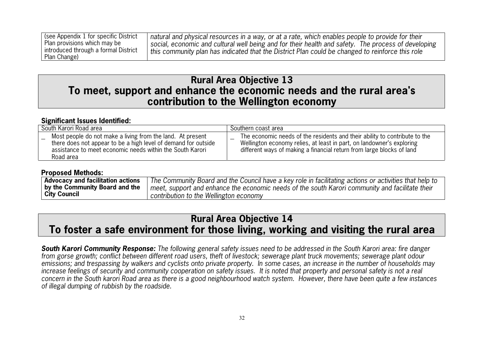| See Appendix 1 for specific District | natural and physical resources in a way, or at a rate, which enables people to provide for their    |
|--------------------------------------|-----------------------------------------------------------------------------------------------------|
| Plan provisions which may be         | social, economic and cultural well being and for their health and safety. The process of developing |
| introduced through a formal District | this community plan has indicated that the District Plan could be changed to reinforce this role    |
| Plan Change)                         |                                                                                                     |

### **Rural Area Objective 13 To meet, support and enhance the economic needs and the rural area's contribution to the Wellington economy**

#### **Significant Issues Identified:**

| South Karori Road area                                                                                                                                                                                 | Southern coast area                                                                                                                                                                                                          |  |
|--------------------------------------------------------------------------------------------------------------------------------------------------------------------------------------------------------|------------------------------------------------------------------------------------------------------------------------------------------------------------------------------------------------------------------------------|--|
| Most people do not make a living from the land. At present<br>there does not appear to be a high level of demand for outside<br>assistance to meet economic needs within the South Karori<br>Road area | The economic needs of the residents and their ability to contribute to the<br>Wellington economy relies, at least in part, on landowner's exploring<br>different ways of making a financial return from large blocks of land |  |

#### **Proposed Methods:**

| Advocacy and facilitation actions | The Community Board and the Council have a key role in facilitating actions or activities that help to |
|-----------------------------------|--------------------------------------------------------------------------------------------------------|
| by the Community Board and the    | meet, support and enhance the economic needs of the south Karori community and facilitate their        |
| <b>City Council</b>               | contribution to the Wellington economy                                                                 |

### **Rural Area Objective 14 To foster a safe environment for those living, working and visiting the rural area**

*South Karori Community Response:* The following general safety issues need to be addressed in the South Karori area: fire danger from gorse growth; conflict between different road users, theft of livestock; sewerage plant truck movements; sewerage plant odour emissions; and trespassing by walkers and cyclists onto private property. In some cases, an increase in the number of households may increase feelings of security and community cooperation on safety issues. It is noted that property and personal safety is not a real concern in the South karori Road area as there is a good neighbourhood watch system. However, there have been quite a few instances of illegal dumping of rubbish by the roadside.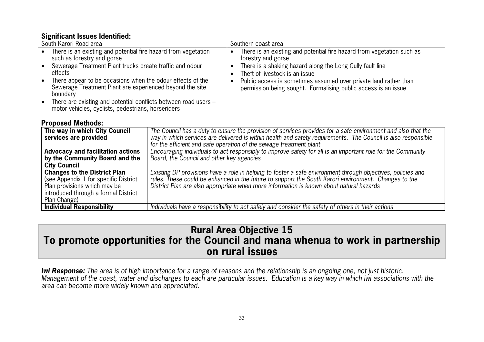### **Significant Issues Identified:**

| South Karori Road area |                                                                                                                                      | Southern coast area |                                                                                                                                    |
|------------------------|--------------------------------------------------------------------------------------------------------------------------------------|---------------------|------------------------------------------------------------------------------------------------------------------------------------|
|                        | • There is an existing and potential fire hazard from vegetation<br>such as forestry and gorse                                       |                     | There is an existing and potential fire hazard from vegetation such as<br>forestry and gorse                                       |
|                        | • Sewerage Treatment Plant trucks create traffic and odour<br>effects                                                                |                     | There is a shaking hazard along the Long Gully fault line<br>Theft of livestock is an issue                                        |
|                        | • There appear to be occasions when the odour effects of the<br>Sewerage Treatment Plant are experienced beyond the site<br>boundary |                     | Public access is sometimes assumed over private land rather than<br>permission being sought. Formalising public access is an issue |
|                        | • There are existing and potential conflicts between road users -<br>motor vehicles, cyclists, pedestrians, horseriders              |                     |                                                                                                                                    |

#### **Proposed Methods:**

| The way in which City Council<br>services are provided                                                                                                               | The Council has a duty to ensure the provision of services provides for a safe environment and also that the<br>way in which services are delivered is within health and safety requirements. The Council is also responsible<br>for the efficient and safe operation of the sewage treatment plant            |
|----------------------------------------------------------------------------------------------------------------------------------------------------------------------|----------------------------------------------------------------------------------------------------------------------------------------------------------------------------------------------------------------------------------------------------------------------------------------------------------------|
| <b>Advocacy and facilitation actions</b><br>by the Community Board and the<br><b>City Council</b>                                                                    | Encouraging individuals to act responsibly to improve safety for all is an important role for the Community<br>Board, the Council and other key agencies                                                                                                                                                       |
| <b>Changes to the District Plan</b><br>(see Appendix 1 for specific District<br>Plan provisions which may be<br>introduced through a formal District<br>Plan Change) | Existing DP provisions have a role in helping to foster a safe environment through objectives, policies and<br>rules. These could be enhanced in the future to support the South Karori environment. Changes to the<br>District Plan are also appropriate when more information is known about natural hazards |
| <b>Individual Responsibility</b>                                                                                                                                     | Individuals have a responsibility to act safely and consider the safety of others in their actions                                                                                                                                                                                                             |

### **Rural Area Objective 15 To promote opportunities for the Council and mana whenua to work in partnership on rural issues**

*Iwi Response:* The area is of high importance for a range of reasons and the relationship is an ongoing one, not just historic. Management of the coast, water and discharges to each are particular issues. Education is a key way in which iwi associations with the area can become more widely known and appreciated.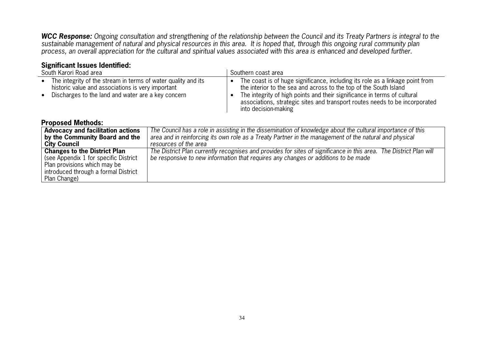*WCC Response:* Ongoing consultation and strengthening of the relationship between the Council and its Treaty Partners is integral to the sustainable management of natural and physical resources in this area. It is hoped that, through this ongoing rural community plan process, an overall appreciation for the cultural and spiritual values associated with this area is enhanced and developed further.

### **Significant Issues Identified:**

| South Karori Road area                                                                                                                                                   |                                                                                                                                                                                                                                                |                        | Southern coast area                                                                                                                                                                                                                                                                                                                   |  |  |
|--------------------------------------------------------------------------------------------------------------------------------------------------------------------------|------------------------------------------------------------------------------------------------------------------------------------------------------------------------------------------------------------------------------------------------|------------------------|---------------------------------------------------------------------------------------------------------------------------------------------------------------------------------------------------------------------------------------------------------------------------------------------------------------------------------------|--|--|
| The integrity of the stream in terms of water quality and its<br>historic value and associations is very important<br>Discharges to the land and water are a key concern |                                                                                                                                                                                                                                                | $\bullet$<br>$\bullet$ | The coast is of huge significance, including its role as a linkage point from<br>the interior to the sea and across to the top of the South Island<br>The integrity of high points and their significance in terms of cultural<br>associations, strategic sites and transport routes needs to be incorporated<br>into decision-making |  |  |
| <b>Proposed Methods:</b>                                                                                                                                                 |                                                                                                                                                                                                                                                |                        |                                                                                                                                                                                                                                                                                                                                       |  |  |
| <b>Advocacy and facilitation actions</b><br>by the Community Board and the<br><b>City Council</b>                                                                        | The Council has a role in assisting in the dissemination of knowledge about the cultural importance of this<br>area and in reinforcing its own role as a Treaty Partner in the management of the natural and physical<br>resources of the area |                        |                                                                                                                                                                                                                                                                                                                                       |  |  |
| <b>Changes to the District Plan</b><br>(see Appendix 1 for specific District<br>Plan provisions which may be<br>introduced through a formal District<br>Plan Change)     |                                                                                                                                                                                                                                                |                        | The District Plan currently recognises and provides for sites of significance in this area. The District Plan will<br>be responsive to new information that requires any changes or additions to be made                                                                                                                              |  |  |